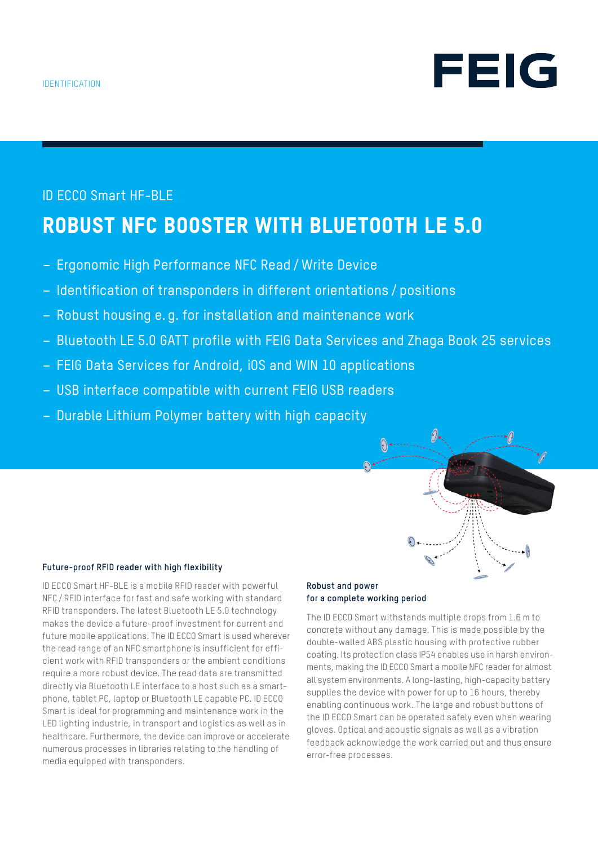

# ID ECCO Smart HF-BLE ROBUST NFC BOOSTER WITH BLUETOOTH LE 5.0

- Ergonomic High Performance NFC Read /Write Device
- Identification of transponders in different orientations / positions
- Robust housing e. g. for installation and maintenance work
- Bluetooth LE 5.0 GATT profile with FEIG Data Services and Zhaga Book 25 services
- FEIG Data Services for Android, iOS and WIN 10 applications
- USB interface compatible with current FEIG USB readers
- Durable Lithium Polymer battery with high capacity

#### **Future-proof RFID reader with high flexibility**

ID ECCO Smart HF-BLE is a mobile RFID reader with powerful NFC / RFID interface for fast and safe working with standard RFID transponders. The latest Bluetooth LE 5.0 technology makes the device a future-proof investment for current and future mobile applications. The ID ECCO Smart is used wherever the read range of an NFC smartphone is insufficient for efficient work with RFID transponders or the ambient conditions require a more robust device. The read data are transmitted directly via Bluetooth LE interface to a host such as a smartphone, tablet PC, laptop or Bluetooth LE capable PC. ID ECCO Smart is ideal for programming and maintenance work in the LED lighting industrie, in transport and logistics as well as in healthcare. Furthermore, the device can improve or accelerate numerous processes in libraries relating to the handling of media equipped with transponders.

#### **Robust and power for a complete working period**

The ID ECCO Smart withstands multiple drops from 1.6 m to concrete without any damage. This is made possible by the double-walled ABS plastic housing with protective rubber coating. Its protection class IP54 enables use in harsh environments, making the ID ECCO Smart a mobile NFC reader for almost all system environments. A long-lasting, high-capacity battery supplies the device with power for up to 16 hours, thereby enabling continuous work. The large and robust buttons of the ID ECCO Smart can be operated safely even when wearing gloves. Optical and acoustic signals as well as a vibration feedback acknowledge the work carried out and thus ensure error-free processes.